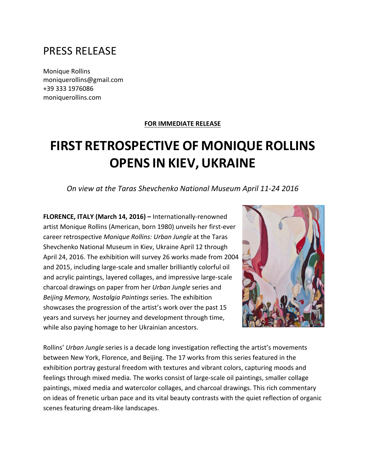# PRESS RELEASE

Monique Rollins moniquerollins@gmail.com +39 333 1976086 moniquerollins.com

#### **FOR IMMEDIATE RELEASE**

# **FIRST RETROSPECTIVE OF MONIQUE ROLLINS OPENS IN KIEV, UKRAINE**

## *On view at the Taras Shevchenko National Museum April 11-24 2016*

**FLORENCE, ITALY (March 14, 2016)** – Internationally-renowned artist Monique Rollins (American, born 1980) unveils her first-ever career retrospective *Monique Rollins: Urban Jungle* at the Taras Shevchenko National Museum in Kiev, Ukraine April 12 through April 24, 2016. The exhibition will survey 26 works made from 2004 and 2015, including large-scale and smaller brilliantly colorful oil and acrylic paintings, layered collages, and impressive large-scale charcoal drawings on paper from her *Urban Jungle* series and *Beijing Memory, Nostalgia Paintings series.* The exhibition showcases the progression of the artist's work over the past 15 years and surveys her journey and development through time, while also paying homage to her Ukrainian ancestors.



Rollins' Urban Jungle series is a decade long investigation reflecting the artist's movements between New York, Florence, and Beijing. The 17 works from this series featured in the exhibition portray gestural freedom with textures and vibrant colors, capturing moods and feelings through mixed media. The works consist of large-scale oil paintings, smaller collage paintings, mixed media and watercolor collages, and charcoal drawings. This rich commentary on ideas of frenetic urban pace and its vital beauty contrasts with the quiet reflection of organic scenes featuring dream-like landscapes.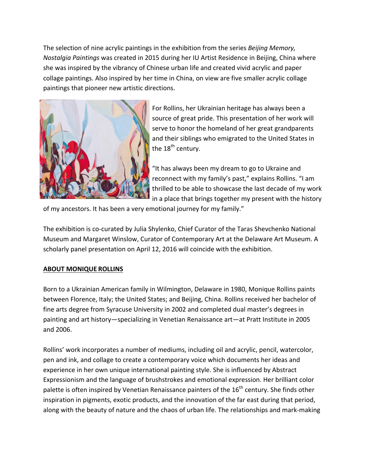The selection of nine acrylic paintings in the exhibition from the series *Beijing Memory, Nostalgia Paintings* was created in 2015 during her IU Artist Residence in Beijing, China where she was inspired by the vibrancy of Chinese urban life and created vivid acrylic and paper collage paintings. Also inspired by her time in China, on view are five smaller acrylic collage paintings that pioneer new artistic directions.



For Rollins, her Ukrainian heritage has always been a source of great pride. This presentation of her work will serve to honor the homeland of her great grandparents and their siblings who emigrated to the United States in the  $18^{th}$  century.

"It has always been my dream to go to Ukraine and reconnect with my family's past," explains Rollins. "I am thrilled to be able to showcase the last decade of my work in a place that brings together my present with the history

of my ancestors. It has been a very emotional journey for my family."

The exhibition is co-curated by Julia Shylenko, Chief Curator of the Taras Shevchenko National Museum and Margaret Winslow, Curator of Contemporary Art at the Delaware Art Museum. A scholarly panel presentation on April 12, 2016 will coincide with the exhibition.

### **ABOUT MONIQUE ROLLINS**

Born to a Ukrainian American family in Wilmington, Delaware in 1980, Monique Rollins paints between Florence, Italy; the United States; and Beijing, China. Rollins received her bachelor of fine arts degree from Syracuse University in 2002 and completed dual master's degrees in painting and art history—specializing in Venetian Renaissance art—at Pratt Institute in 2005 and 2006. 

Rollins' work incorporates a number of mediums, including oil and acrylic, pencil, watercolor, pen and ink, and collage to create a contemporary voice which documents her ideas and experience in her own unique international painting style. She is influenced by Abstract Expressionism and the language of brushstrokes and emotional expression. Her brilliant color palette is often inspired by Venetian Renaissance painters of the 16<sup>th</sup> century. She finds other inspiration in pigments, exotic products, and the innovation of the far east during that period, along with the beauty of nature and the chaos of urban life. The relationships and mark-making